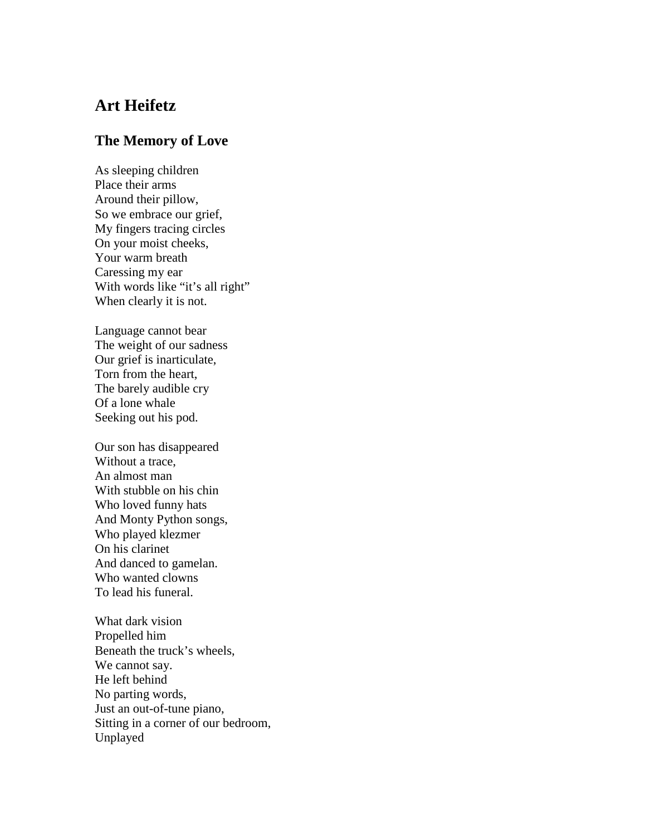## **Art Heifetz**

## **The Memory of Love**

As sleeping children Place their arms Around their pillow, So we embrace our grief, My fingers tracing circles On your moist cheeks, Your warm breath Caressing my ear With words like "it's all right" When clearly it is not.

Language cannot bear The weight of our sadness Our grief is inarticulate, Torn from the heart, The barely audible cry Of a lone whale Seeking out his pod.

Our son has disappeared Without a trace, An almost man With stubble on his chin Who loved funny hats And Monty Python songs, Who played klezmer On his clarinet And danced to gamelan. Who wanted clowns To lead his funeral.

What dark vision Propelled him Beneath the truck's wheels, We cannot say. He left behind No parting words, Just an out-of-tune piano, Sitting in a corner of our bedroom, Unplayed